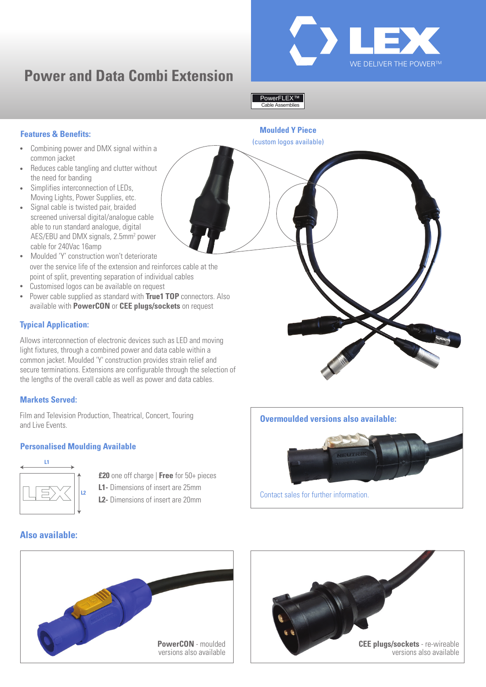

# **Power and Data Combi Extension**

#### Cable Assemblies PowerFLEX™

# **Features & Benefits:**

- Combining power and DMX signal within a common jacket
- Reduces cable tangling and clutter without the need for banding
- Simplifies interconnection of LEDs, Moving Lights, Power Supplies, etc.
- Signal cable is twisted pair, braided screened universal digital/analogue cable able to run standard analogue, digital AES/EBU and DMX signals, 2.5mm<sup>2</sup> power cable for 240Vac 16amp
- Moulded 'Y' construction won't deteriorate over the service life of the extension and reinforces cable at the point of split, preventing separation of individual cables
- Customised logos can be available on request
- Power cable supplied as standard with **True1 TOP** connectors. Also available with **PowerCON** or **CEE plugs/sockets** on request

# **Typical Application:**

Allows interconnection of electronic devices such as LED and moving light fixtures, through a combined power and data cable within a common jacket. Moulded 'Y' construction provides strain relief and secure terminations. Extensions are configurable through the selection of the lengths of the overall cable as well as power and data cables.

### **Markets Served:**

Film and Television Production, Theatrical, Concert, Touring and Live Events.

### **Personalised Moulding Available**



- **£20** one off charge | **Free** for 50+ pieces
- **L1-** Dimensions of insert are 25mm
- **L2-** Dimensions of insert are 20mm

**Moulded Y Piece** (custom logos available)

**Overmoulded versions also available:**



Contact sales for further information.

# **Also available:**